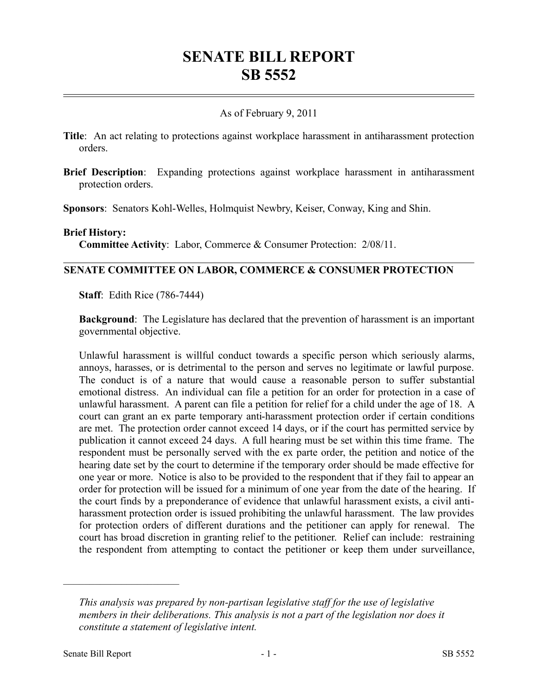# **SENATE BILL REPORT SB 5552**

## As of February 9, 2011

- **Title**: An act relating to protections against workplace harassment in antiharassment protection orders.
- **Brief Description**: Expanding protections against workplace harassment in antiharassment protection orders.

**Sponsors**: Senators Kohl-Welles, Holmquist Newbry, Keiser, Conway, King and Shin.

#### **Brief History:**

**Committee Activity**: Labor, Commerce & Consumer Protection: 2/08/11.

### **SENATE COMMITTEE ON LABOR, COMMERCE & CONSUMER PROTECTION**

**Staff**: Edith Rice (786-7444)

**Background**: The Legislature has declared that the prevention of harassment is an important governmental objective.

Unlawful harassment is willful conduct towards a specific person which seriously alarms, annoys, harasses, or is detrimental to the person and serves no legitimate or lawful purpose. The conduct is of a nature that would cause a reasonable person to suffer substantial emotional distress. An individual can file a petition for an order for protection in a case of unlawful harassment. A parent can file a petition for relief for a child under the age of 18. A court can grant an ex parte temporary anti-harassment protection order if certain conditions are met. The protection order cannot exceed 14 days, or if the court has permitted service by publication it cannot exceed 24 days. A full hearing must be set within this time frame. The respondent must be personally served with the ex parte order, the petition and notice of the hearing date set by the court to determine if the temporary order should be made effective for one year or more. Notice is also to be provided to the respondent that if they fail to appear an order for protection will be issued for a minimum of one year from the date of the hearing. If the court finds by a preponderance of evidence that unlawful harassment exists, a civil antiharassment protection order is issued prohibiting the unlawful harassment. The law provides for protection orders of different durations and the petitioner can apply for renewal. The court has broad discretion in granting relief to the petitioner. Relief can include: restraining the respondent from attempting to contact the petitioner or keep them under surveillance,

––––––––––––––––––––––

*This analysis was prepared by non-partisan legislative staff for the use of legislative members in their deliberations. This analysis is not a part of the legislation nor does it constitute a statement of legislative intent.*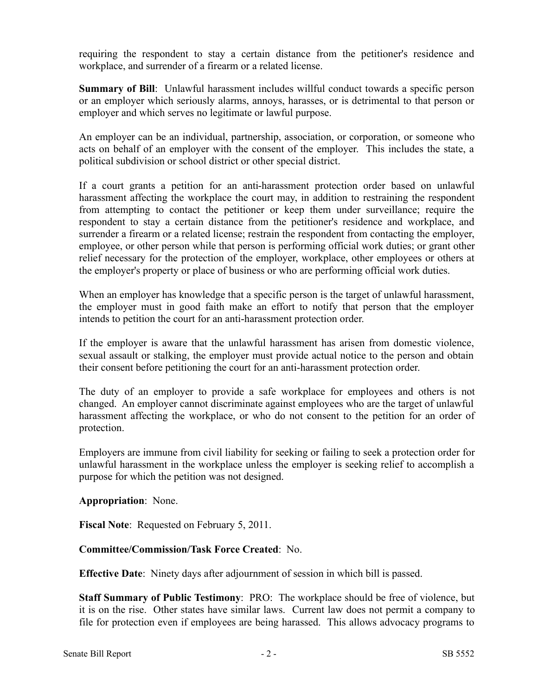requiring the respondent to stay a certain distance from the petitioner's residence and workplace, and surrender of a firearm or a related license.

**Summary of Bill**: Unlawful harassment includes willful conduct towards a specific person or an employer which seriously alarms, annoys, harasses, or is detrimental to that person or employer and which serves no legitimate or lawful purpose.

An employer can be an individual, partnership, association, or corporation, or someone who acts on behalf of an employer with the consent of the employer. This includes the state, a political subdivision or school district or other special district.

If a court grants a petition for an anti-harassment protection order based on unlawful harassment affecting the workplace the court may, in addition to restraining the respondent from attempting to contact the petitioner or keep them under surveillance; require the respondent to stay a certain distance from the petitioner's residence and workplace, and surrender a firearm or a related license; restrain the respondent from contacting the employer, employee, or other person while that person is performing official work duties; or grant other relief necessary for the protection of the employer, workplace, other employees or others at the employer's property or place of business or who are performing official work duties.

When an employer has knowledge that a specific person is the target of unlawful harassment, the employer must in good faith make an effort to notify that person that the employer intends to petition the court for an anti-harassment protection order.

If the employer is aware that the unlawful harassment has arisen from domestic violence, sexual assault or stalking, the employer must provide actual notice to the person and obtain their consent before petitioning the court for an anti-harassment protection order.

The duty of an employer to provide a safe workplace for employees and others is not changed. An employer cannot discriminate against employees who are the target of unlawful harassment affecting the workplace, or who do not consent to the petition for an order of protection.

Employers are immune from civil liability for seeking or failing to seek a protection order for unlawful harassment in the workplace unless the employer is seeking relief to accomplish a purpose for which the petition was not designed.

**Appropriation**: None.

**Fiscal Note**: Requested on February 5, 2011.

## **Committee/Commission/Task Force Created**: No.

**Effective Date**: Ninety days after adjournment of session in which bill is passed.

**Staff Summary of Public Testimony**: PRO: The workplace should be free of violence, but it is on the rise. Other states have similar laws. Current law does not permit a company to file for protection even if employees are being harassed. This allows advocacy programs to